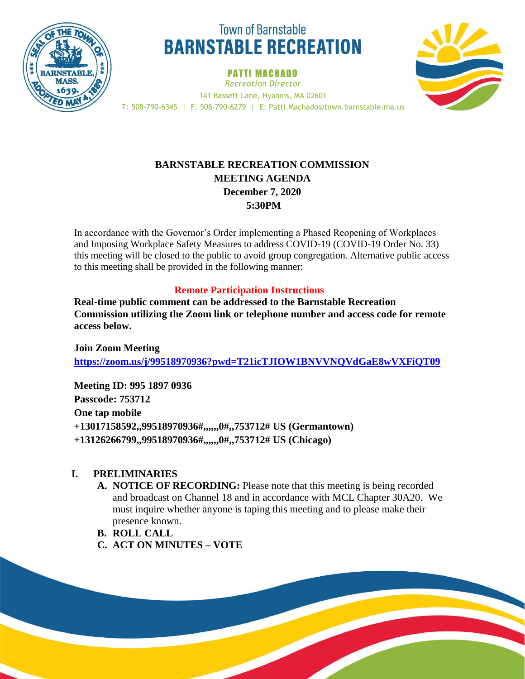

# **Town of Barnstable BARNSTABLE RECREATION**

PATTI MACHADO





# **BARNSTABLE RECREATION COMMISSION MEETING AGENDA December 7, 2020 5:30PM**

In accordance with the Governor's Order implementing a Phased Reopening of Workplaces and Imposing Workplace Safety Measures to address COVID-19 (COVID-19 Order No. 33) this meeting will be closed to the public to avoid group congregation. Alternative public access to this meeting shall be provided in the following manner:

# **Remote Participation Instructions**

**Real-time public comment can be addressed to the Barnstable Recreation Commission utilizing the Zoom link or telephone number and access code for remote access below.** 

**Join Zoom Meeting <https://zoom.us/j/99518970936?pwd=T21icTJIOW1BNVVNQVdGaE8wVXFiQT09>**

**Meeting ID: 995 1897 0936 Passcode: 753712 One tap mobile +13017158592,,99518970936#,,,,,,0#,,753712# US (Germantown) +13126266799,,99518970936#,,,,,,0#,,753712# US (Chicago)**

## **I. PRELIMINARIES**

- **A. NOTICE OF RECORDING:** Please note that this meeting is being recorded and broadcast on Channel 18 and in accordance with MCL Chapter 30A20. We must inquire whether anyone is taping this meeting and to please make their presence known.
- **B. ROLL CALL**
- **C. ACT ON MINUTES – VOTE**